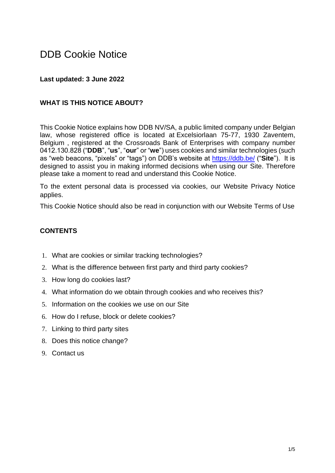# DDB Cookie Notice

### **Last updated: 3 June 2022**

#### **WHAT IS THIS NOTICE ABOUT?**

This Cookie Notice explains how DDB NV/SA, a public limited company under Belgian law, whose registered office is located at Excelsiorlaan 75-77, 1930 Zaventem, Belgium , registered at the Crossroads Bank of Enterprises with company number 0412.130.828 ("**DDB**", "**us**", "**our**" or "**we**") uses cookies and similar technologies (such as "web beacons, "pixels" or "tags") on DDB's website at<https://ddb.be/> ("**Site**"). It is designed to assist you in making informed decisions when using our Site. Therefore please take a moment to read and understand this Cookie Notice.

To the extent personal data is processed via cookies, our Website Privacy Notice applies.

This Cookie Notice should also be read in conjunction with our Website Terms of Use

#### **CONTENTS**

- 1. What are cookies or similar tracking technologies?
- 2. What is the difference between first party and third party cookies?
- 3. How long do cookies last?
- 4. What information do we obtain through cookies and who receives this?
- 5. Information on the cookies we use on our Site
- 6. How do I refuse, block or delete cookies?
- 7. Linking to third party sites
- 8. Does this notice change?
- 9. Contact us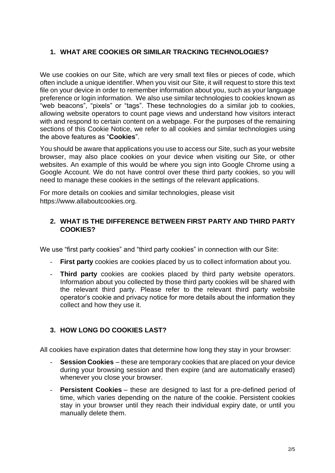## **1. WHAT ARE COOKIES OR SIMILAR TRACKING TECHNOLOGIES?**

We use cookies on our Site, which are very small text files or pieces of code, which often include a unique identifier. When you visit our Site, it will request to store this text file on your device in order to remember information about you, such as your language preference or login information. We also use similar technologies to cookies known as "web beacons", "pixels" or "tags". These technologies do a similar job to cookies, allowing website operators to count page views and understand how visitors interact with and respond to certain content on a webpage. For the purposes of the remaining sections of this Cookie Notice, we refer to all cookies and similar technologies using the above features as "**Cookies**".

You should be aware that applications you use to access our Site, such as your website browser, may also place cookies on your device when visiting our Site, or other websites. An example of this would be where you sign into Google Chrome using a Google Account. We do not have control over these third party cookies, so you will need to manage these cookies in the settings of the relevant applications.

For more details on cookies and similar technologies, please visit https://www.allaboutcookies.org.

## **2. WHAT IS THE DIFFERENCE BETWEEN FIRST PARTY AND THIRD PARTY COOKIES?**

We use "first party cookies" and "third party cookies" in connection with our Site:

- **First party** cookies are cookies placed by us to collect information about you.
- **Third party** cookies are cookies placed by third party website operators. Information about you collected by those third party cookies will be shared with the relevant third party. Please refer to the relevant third party website operator's cookie and privacy notice for more details about the information they collect and how they use it.

# **3. HOW LONG DO COOKIES LAST?**

All cookies have expiration dates that determine how long they stay in your browser:

- **Session Cookies** these are temporary cookies that are placed on your device during your browsing session and then expire (and are automatically erased) whenever you close your browser.
- **Persistent Cookies** these are designed to last for a pre-defined period of time, which varies depending on the nature of the cookie. Persistent cookies stay in your browser until they reach their individual expiry date, or until you manually delete them.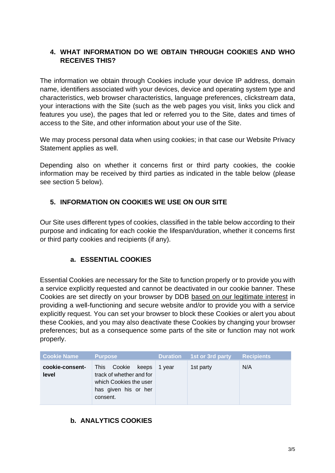# **4. WHAT INFORMATION DO WE OBTAIN THROUGH COOKIES AND WHO RECEIVES THIS?**

The information we obtain through Cookies include your device IP address, domain name, identifiers associated with your devices, device and operating system type and characteristics, web browser characteristics, language preferences, clickstream data, your interactions with the Site (such as the web pages you visit, links you click and features you use), the pages that led or referred you to the Site, dates and times of access to the Site, and other information about your use of the Site.

We may process personal data when using cookies; in that case our Website Privacy Statement applies as well.

Depending also on whether it concerns first or third party cookies, the cookie information may be received by third parties as indicated in the table below (please see section 5 below).

## **5. INFORMATION ON COOKIES WE USE ON OUR SITE**

Our Site uses different types of cookies, classified in the table below according to their purpose and indicating for each cookie the lifespan/duration, whether it concerns first or third party cookies and recipients (if any).

# **a. ESSENTIAL COOKIES**

Essential Cookies are necessary for the Site to function properly or to provide you with a service explicitly requested and cannot be deactivated in our cookie banner. These Cookies are set directly on your browser by DDB based on our legitimate interest in providing a well-functioning and secure website and/or to provide you with a service explicitly request. You can set your browser to block these Cookies or alert you about these Cookies, and you may also deactivate these Cookies by changing your browser preferences; but as a consequence some parts of the site or function may not work properly.

| <b>Cookie Name</b>       | <b>Purpose</b>                                                                                                    | <b>Duration</b> | 1st or 3rd party | <b>Recipients</b> |
|--------------------------|-------------------------------------------------------------------------------------------------------------------|-----------------|------------------|-------------------|
| cookie-consent-<br>level | This<br>Cookie<br>keeps<br>track of whether and for<br>which Cookies the user<br>has given his or her<br>consent. | 1 vear          | 1st party        | N/A               |

# **b. ANALYTICS COOKIES**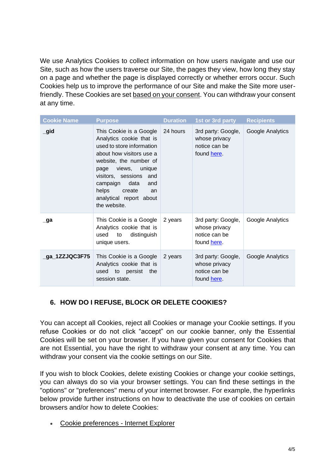We use Analytics Cookies to collect information on how users navigate and use our Site, such as how the users traverse our Site, the pages they view, how long they stay on a page and whether the page is displayed correctly or whether errors occur. Such Cookies help us to improve the performance of our Site and make the Site more userfriendly. These Cookies are set based on your consent. You can withdraw your consent at any time.

| <b>Cookie Name</b> | <b>Purpose</b>                                                                                                                                                                                                                                                                        | <b>Duration</b> | 1st or 3rd party                                                   | <b>Recipients</b> |
|--------------------|---------------------------------------------------------------------------------------------------------------------------------------------------------------------------------------------------------------------------------------------------------------------------------------|-----------------|--------------------------------------------------------------------|-------------------|
| $\_$ gid           | This Cookie is a Google<br>Analytics cookie that is<br>used to store information<br>about how visitors use a<br>website, the number of<br>views, unique<br>page<br>visitors, sessions and<br>campaign data<br>and<br>helps<br>create<br>an<br>analytical report about<br>the website. | 24 hours        | 3rd party: Google,<br>whose privacy<br>notice can be<br>found here | Google Analytics  |
| $\Box$ ga          | This Cookie is a Google<br>Analytics cookie that is<br>distinguish<br>to<br>used<br>unique users.                                                                                                                                                                                     | 2 years         | 3rd party: Google,<br>whose privacy<br>notice can be<br>found here | Google Analytics  |
| _ga_1ZZJQC3F75     | This Cookie is a Google<br>Analytics cookie that is<br>the<br>used to persist<br>session state.                                                                                                                                                                                       | 2 years         | 3rd party: Google,<br>whose privacy<br>notice can be<br>found here | Google Analytics  |

# **6. HOW DO I REFUSE, BLOCK OR DELETE COOKIES?**

You can accept all Cookies, reject all Cookies or manage your Cookie settings. If you refuse Cookies or do not click "accept" on our cookie banner, only the Essential Cookies will be set on your browser. If you have given your consent for Cookies that are not Essential, you have the right to withdraw your consent at any time. You can withdraw your consent via the cookie settings on our Site.

If you wish to block Cookies, delete existing Cookies or change your cookie settings, you can always do so via your browser settings. You can find these settings in the "options" or "preferences" menu of your internet browser. For example, the hyperlinks below provide further instructions on how to deactivate the use of cookies on certain browsers and/or how to delete Cookies:

• [Cookie preferences -](https://support.microsoft.com/en-gb/help/17442/windows-internet-explorer-delete-manage-cookies) Internet Explorer